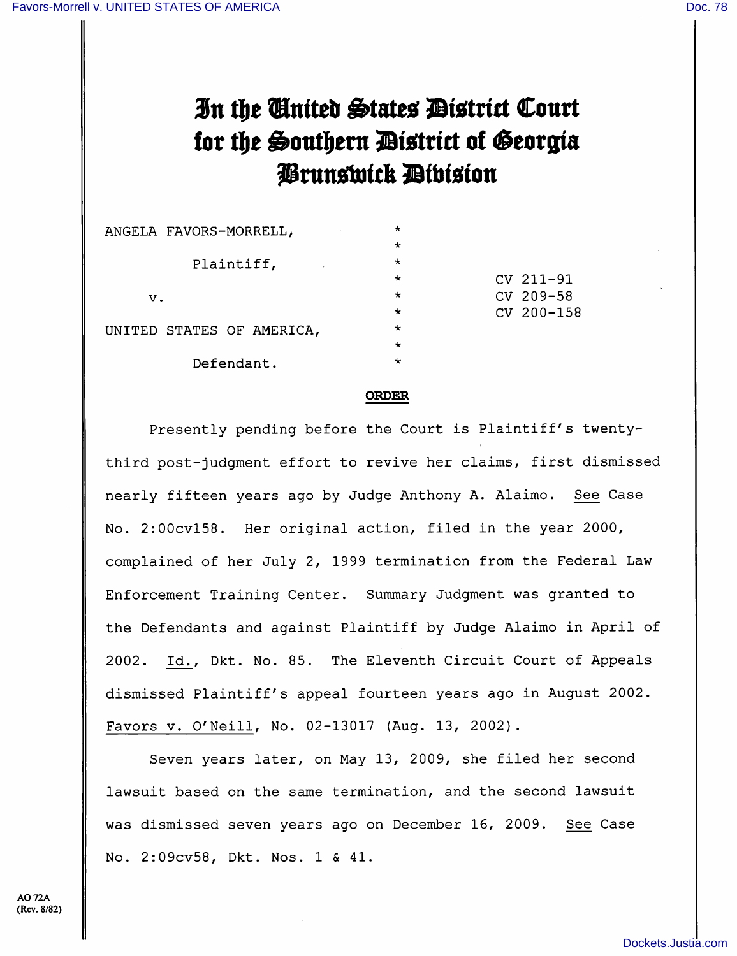## In the Cinited States District Court for the Southern District of Georgia Prunswick Dibision

| ANGELA FAVORS-MORRELL,    | $\star$ |            |
|---------------------------|---------|------------|
|                           | $\star$ |            |
| Plaintiff,                | $\star$ |            |
|                           | $\star$ | CV 211-91  |
| v.                        | $\star$ | CV 209-58  |
|                           | $\star$ | CV 200-158 |
| UNITED STATES OF AMERICA, | $\star$ |            |
|                           | $\star$ |            |
| Defendant.                | $\star$ |            |
|                           |         |            |

## ORDER

Presently pending before the Court is Plaintiff's twentythird post-judgment effort to revive her claims, first dismissed nearly fifteen years ago by Judge Anthony A. Alaimo. See Case No. 2:00cvl58. Her original action, filed in the year 2000, complained of her July 2, 1999 termination from the Federal Law Enforcement Training Center. Summary Judgment was granted to the Defendants and against Plaintiff by Judge Alaimo in April of 2002. Id., Dkt. No. 85. The Eleventh Circuit Court of Appeals dismissed Plaintiff's appeal fourteen years ago in August 2002. Favors v. O'Neill, No. 02-13017 (Aug. 13, 2002}.

Seven years later, on May 13, 2009, she filed her second lawsuit based on the same termination, and the second lawsuit was dismissed seven years ago on December 16, 2009. See Case No. 2:09cv58, Dkt. Nos. 1 & 41.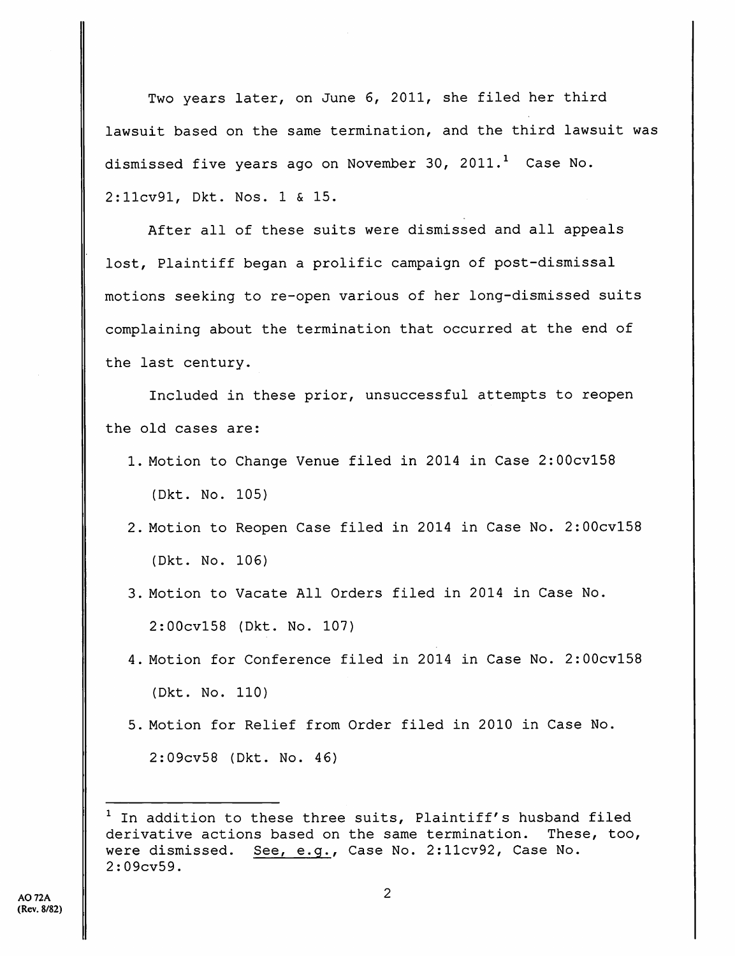Two years later, on June 6, 2011, she filed her third lawsuit based on the same termination, and the third lawsuit was dismissed five years ago on November 30, 2011.<sup>1</sup> Case No. 2:llcv91, Dkt. Nos. 1 & 15.

After all of these suits were dismissed and all appeals lost. Plaintiff began a prolific campaign of post-dismissal motions seeking to re-open various of her long-dismissed suits complaining about the termination that occurred at the end of the last century.

Included in these prior, unsuccessful attempts to reopen the old cases are:

- 1. Motion to Change Venue filed in 2014 in Case 2:00cvl58 (Dkt. No. 105)
- 2. Motion to Reopen Case filed in 2014 in Case No. 2:00cvl58 (Dkt. No. 106)
- 3. Motion to Vacate All Orders filed in 2014 in Case No. 2:00cvl58 (Dkt. No. 107)
- 4. Motion for Conference filed in 2014 in Case No. 2:00cvl58 (Dkt. No. 110)
- 5. Motion for Relief from Order filed in 2010 in Case No. 2:09cv58 (Dkt. No. 46)

 $1$  In addition to these three suits, Plaintiff's husband filed derivative actions based on the same termination. These, too, were dismissed. See, e.g., Case No. 2:llcv92, Case No. 2:09cv59.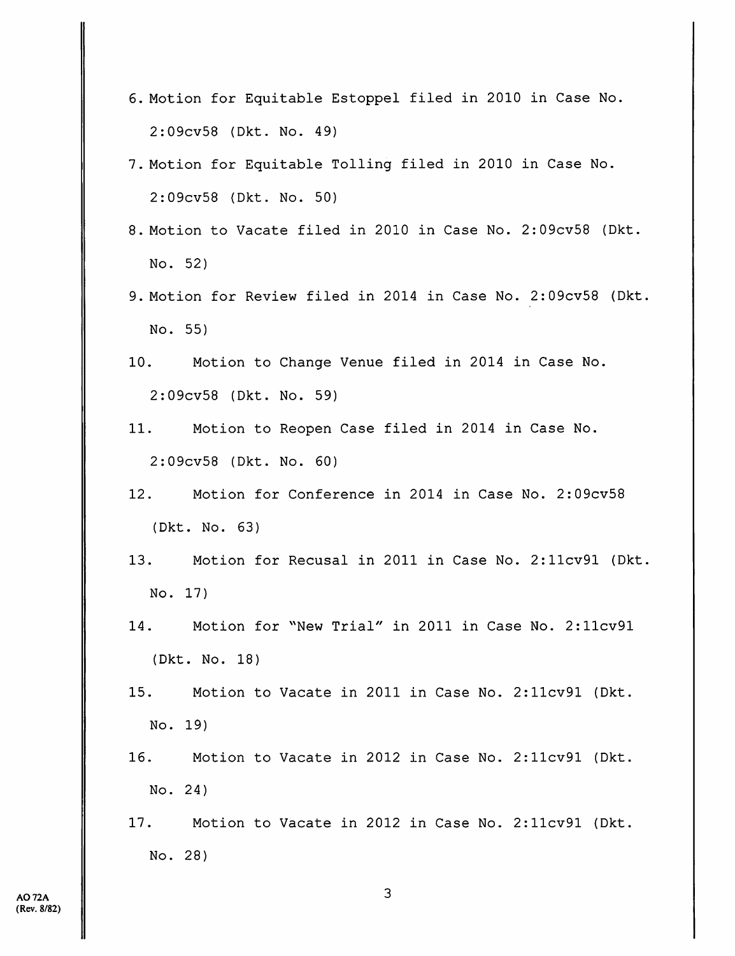- 6. Motion for Equitable Estoppel filed in 2010 in Case No. 2:09cv58 (Dkt. No. 49)
- 7. Motion for Equitable Tolling filed in 2010 in Case No. 2:09cv58 {Dkt. No. 50)
- 8. Motion to Vacate filed in 2010 in Case No. 2:09cv58 (Dkt. No. 52)
- 9. Motion for Review filed in 2014 in Case No. 2:09cv58 (Dkt No. 55)
- 10. Motion to Change Venue filed in 2014 in Case No. 2:09cv58 (Dkt. No. 59)
- 11. Motion to Reopen Case filed in 2014 in Case No. 2:09cv58 (Dkt. No. 60)
- 12. Motion for Conference in 2014 in Case No. 2:09cv58 (Dkt. No. 63)
- 13. Motion for Recusal in 2011 in Case No. 2:llcv91 (Dkt No. 17)
- 14. Motion for ''New Trial" in 2011 in Case No. 2:llcv91 (Dkt. No. 18)
- 15. Motion to Vacate in 2011 in Case No. 2:llcv91 (Dkt. No. 19)
- 16. Motion to Vacate in 2012 in Case No. 2:llcv91 (Dkt. No. 24)
- 17. Motion to Vacate in 2012 in Case No. 2:llcv91 (Dkt. No. 28)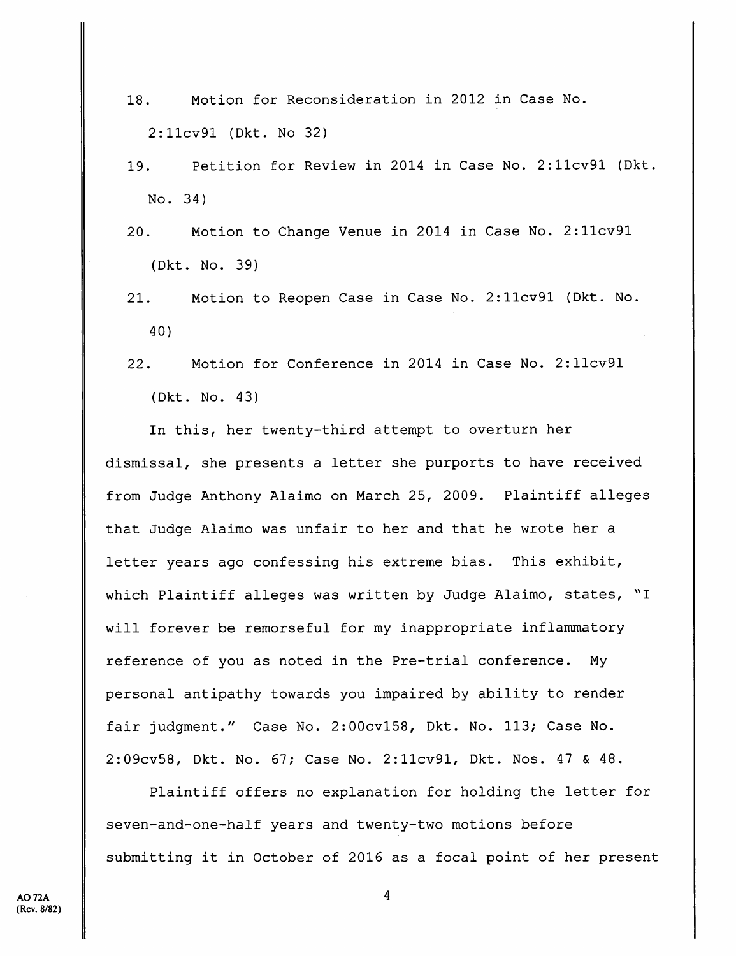- 18. Motion for Reconsideration in 2012 in Case No. 2:llcv91 (Dkt. No 32)
- 19. Petition for Review in 2014 in Case No. 2:llcv91 (Dkt. No. 34)
- 20. Motion to Change Venue in 2014 in Case No. 2:llcv91 (Dkt. No. 39)
- 21. Motion to Reopen Case in Case No. 2:llcv91 (Dkt. No. 40)
- 22. Motion for Conference in 2014 in Case No. 2:llcv91 (Dkt. No. 43)

In this, her twenty-third attempt to overturn her dismissal, she presents a letter she purports to have received from Judge Anthony Alaimo on March 25, 2009. Plaintiff alleges that Judge Alaimo was unfair to her and that he wrote her a letter years ago confessing his extreme bias. This exhibit, which Plaintiff alleges was written by Judge Alaimo, states, "I will forever be remorseful for my inappropriate inflammatory reference of you as noted in the Pre-trial conference. My personal antipathy towards you impaired by ability to render fair judgment." Case No. 2:00cvl58, Dkt. No. 113; Case No. 2:09cv58, Dkt. No. 67; Case No. 2:llcv91, Dkt. Nos. 47 & 48.

Plaintiff offers no explanation for holding the letter for seven-and-one-half years and twenty-two motions before submitting it in October of 2016 as a focal point of her present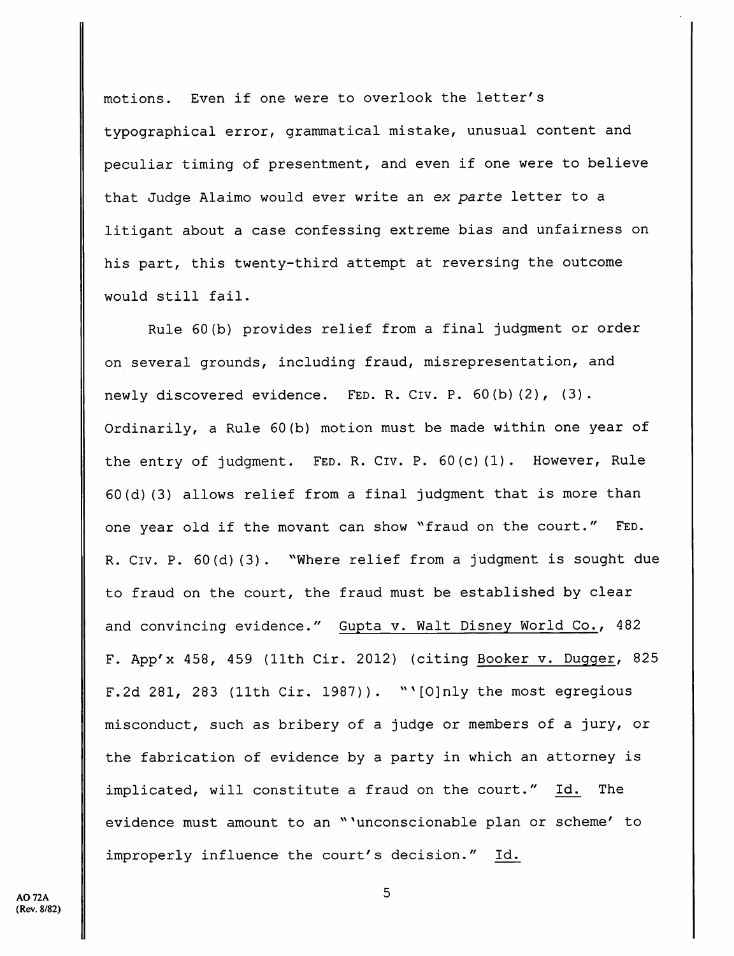motions. Even if one were to overlook the letter's typographical error, grammatical mistake, unusual content and peculiar timing of presentment, and even if one were to believe that Judge Alaimo would ever write an ex parte letter to a litigant about a case confessing extreme bias and unfairness on his part, this twenty-third attempt at reversing the outcome would still fail.

Rule 60(b) provides relief from a final judgment or order on several grounds, including fraud, misrepresentation, and newly discovered evidence. FED. R. CIV. P. 60(b)(2), (3). Ordinarily, a Rule 60(b) motion must be made within one year of the entry of judgment. FED. R. CIV. P. 60(c)(1). However, Rule 60(d)(3) allows relief from a final judgment that is more than one year old if the movant can show "fraud on the court." FED. R. Civ. P. 60(d) (3). "Where relief from a judgment is sought due to fraud on the court, the fraud must be established by clear and convincing evidence." Gupta v. Walt Disney World Co., 482 F. App'x 458, 459 (11th Cir. 2012) (citing Booker v. Dugger, 825 F.2d 281, 283 (11th Cir. 1987)). "'[O]nly the most egregious misconduct, such as bribery of a judge or members of a jury, or the fabrication of evidence by a party in which an attorney is implicated, will constitute a fraud on the court." Id. The evidence must amount to an "'unconscionable plan or scheme' to improperly influence the court's decision." Id.

5